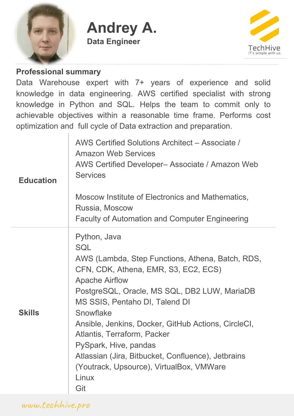

**Andrey A. Data Engineer**



#### **Professional summary**

Data Warehouse expert with 7+ years of experience and solid knowledge in data engineering. AWS certified specialist with strong knowledge in Python and SQL. Helps the team to commit only to achievable objectives within a reasonable time frame. Performs cost optimization and full cycle of Data extraction and preparation.

| <b>Education</b> | AWS Certified Solutions Architect - Associate /<br><b>Amazon Web Services</b><br>AWS Certified Developer- Associate / Amazon Web<br><b>Services</b><br>Moscow Institute of Electronics and Mathematics,<br>Russia, Moscow<br><b>Faculty of Automation and Computer Engineering</b>                                                                                                                                                                                              |
|------------------|---------------------------------------------------------------------------------------------------------------------------------------------------------------------------------------------------------------------------------------------------------------------------------------------------------------------------------------------------------------------------------------------------------------------------------------------------------------------------------|
| <b>Skills</b>    | Python, Java<br><b>SQL</b><br>AWS (Lambda, Step Functions, Athena, Batch, RDS,<br>CFN, CDK, Athena, EMR, S3, EC2, ECS)<br><b>Apache Airflow</b><br>PostgreSQL, Oracle, MS SQL, DB2 LUW, MariaDB<br>MS SSIS, Pentaho DI, Talend DI<br>Snowflake<br>Ansible, Jenkins, Docker, GitHub Actions, CircleCI,<br>Atlantis, Terraform, Packer<br>PySpark, Hive, pandas<br>Atlassian (Jira, Bitbucket, Confluence), Jetbrains<br>(Youtrack, Upsource), VirtualBox, VMWare<br>Linux<br>Git |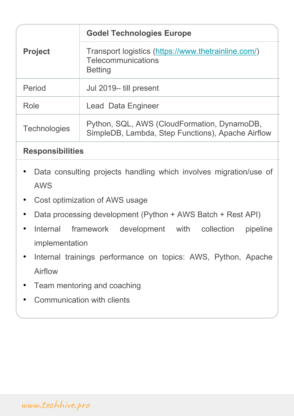| <b>Project</b>      | <b>Godel Technologies Europe</b>                                                                   |
|---------------------|----------------------------------------------------------------------------------------------------|
|                     | Transport logistics (https://www.thetrainline.com/)<br><b>Telecommunications</b><br><b>Betting</b> |
| Period              | Jul 2019-till present                                                                              |
| Role                | <b>Lead Data Engineer</b>                                                                          |
| <b>Technologies</b> | Python, SQL, AWS (CloudFormation, DynamoDB,<br>SimpleDB, Lambda, Step Functions), Apache Airflow   |

- Data consulting projects handling which involves migration/use of AWS
- Cost optimization of AWS usage
- Data processing development (Python + AWS Batch + Rest API)
- Internal framework development with collection pipeline implementation
- Internal trainings performance on topics: AWS, Python, Apache Airflow
- Team mentoring and coaching
- Communication with clients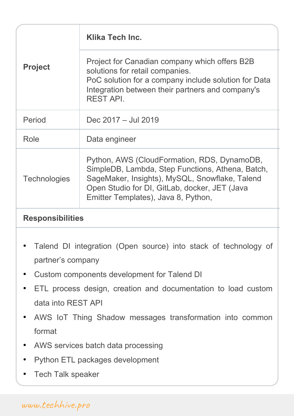| <b>Project</b>      | <b>Klika Tech Inc.</b>                                                                                                                                                                                                                    |
|---------------------|-------------------------------------------------------------------------------------------------------------------------------------------------------------------------------------------------------------------------------------------|
|                     | Project for Canadian company which offers B2B<br>solutions for retail companies.<br>PoC solution for a company include solution for Data<br>Integration between their partners and company's<br><b>REST API.</b>                          |
| Period              | Dec 2017 - Jul 2019                                                                                                                                                                                                                       |
| Role                | Data engineer                                                                                                                                                                                                                             |
| <b>Technologies</b> | Python, AWS (CloudFormation, RDS, DynamoDB,<br>SimpleDB, Lambda, Step Functions, Athena, Batch,<br>SageMaker, Insights), MySQL, Snowflake, Talend<br>Open Studio for DI, GitLab, docker, JET (Java<br>Emitter Templates), Java 8, Python, |

- Talend DI integration (Open source) into stack of technology of partner's company
- Custom components development for Talend DI
- ETL process design, creation and documentation to load custom data into REST API
- AWS IoT Thing Shadow messages transformation into common format
- AWS services batch data processing
- Python ETL packages development
- Tech Talk speaker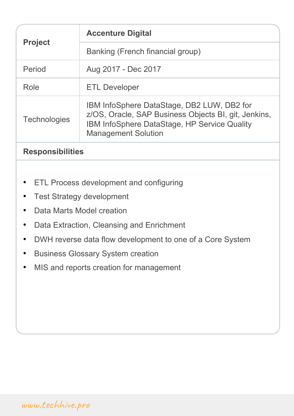| <b>Project</b>      | <b>Accenture Digital</b>                                                                                                                                                         |
|---------------------|----------------------------------------------------------------------------------------------------------------------------------------------------------------------------------|
|                     | Banking (French financial group)                                                                                                                                                 |
| Period              | Aug 2017 - Dec 2017                                                                                                                                                              |
| Role                | <b>ETL Developer</b>                                                                                                                                                             |
| <b>Technologies</b> | IBM InfoSphere DataStage, DB2 LUW, DB2 for<br>z/OS, Oracle, SAP Business Objects BI, git, Jenkins,<br>IBM InfoSphere DataStage, HP Service Quality<br><b>Management Solution</b> |
|                     |                                                                                                                                                                                  |

- ETL Process development and configuring
- Test Strategy development
- Data Marts Model creation
- Data Extraction, Cleansing and Enrichment
- DWH reverse data flow development to one of a Core System
- Business Glossary System creation
- MIS and reports creation for management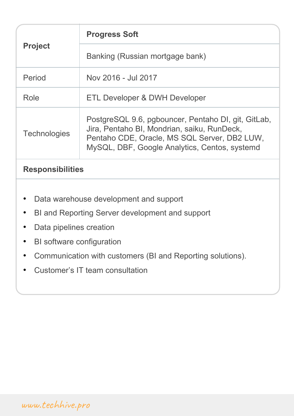| <b>Project</b>      | <b>Progress Soft</b>                                                                                                                                                                                |
|---------------------|-----------------------------------------------------------------------------------------------------------------------------------------------------------------------------------------------------|
|                     | Banking (Russian mortgage bank)                                                                                                                                                                     |
| Period              | Nov 2016 - Jul 2017                                                                                                                                                                                 |
| Role                | ETL Developer & DWH Developer                                                                                                                                                                       |
| <b>Technologies</b> | PostgreSQL 9.6, pgbouncer, Pentaho DI, git, GitLab,<br>Jira, Pentaho BI, Mondrian, saiku, RunDeck,<br>Pentaho CDE, Oracle, MS SQL Server, DB2 LUW,<br>MySQL, DBF, Google Analytics, Centos, systemd |

- Data warehouse development and support
- BI and Reporting Server development and support
- Data pipelines creation
- BI software configuration
- Communication with customers (BI and Reporting solutions).
- Customer's IT team consultation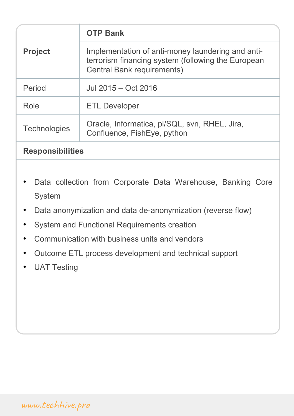| <b>Project</b>          | <b>OTP Bank</b>                                                                                                                              |
|-------------------------|----------------------------------------------------------------------------------------------------------------------------------------------|
|                         | Implementation of anti-money laundering and anti-<br>terrorism financing system (following the European<br><b>Central Bank requirements)</b> |
| Period                  | Jul 2015 – Oct 2016                                                                                                                          |
| Role                    | <b>ETL Developer</b>                                                                                                                         |
| <b>Technologies</b>     | Oracle, Informatica, pl/SQL, svn, RHEL, Jira,<br>Confluence, FishEye, python                                                                 |
| <b>Responsibilities</b> |                                                                                                                                              |

- Data collection from Corporate Data Warehouse, Banking Core System
- Data anonymization and data de-anonymization (reverse flow)
- System and Functional Requirements creation
- Communication with business units and vendors
- Outcome ETL process development and technical support
- **UAT Testing**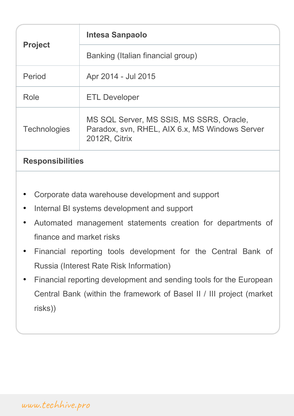| <b>Project</b>      | <b>Intesa Sanpaolo</b>                                                                                      |
|---------------------|-------------------------------------------------------------------------------------------------------------|
|                     | Banking (Italian financial group)                                                                           |
| Period              | Apr 2014 - Jul 2015                                                                                         |
| Role                | <b>ETL Developer</b>                                                                                        |
| <b>Technologies</b> | MS SQL Server, MS SSIS, MS SSRS, Oracle,<br>Paradox, svn, RHEL, AIX 6.x, MS Windows Server<br>2012R, Citrix |
|                     |                                                                                                             |

- Corporate data warehouse development and support
- Internal BI systems development and support
- Automated management statements creation for departments of finance and market risks
- Financial reporting tools development for the Central Bank of Russia (Interest Rate Risk Information)
- Financial reporting development and sending tools for the European Central Bank (within the framework of Basel II / III project (market risks))